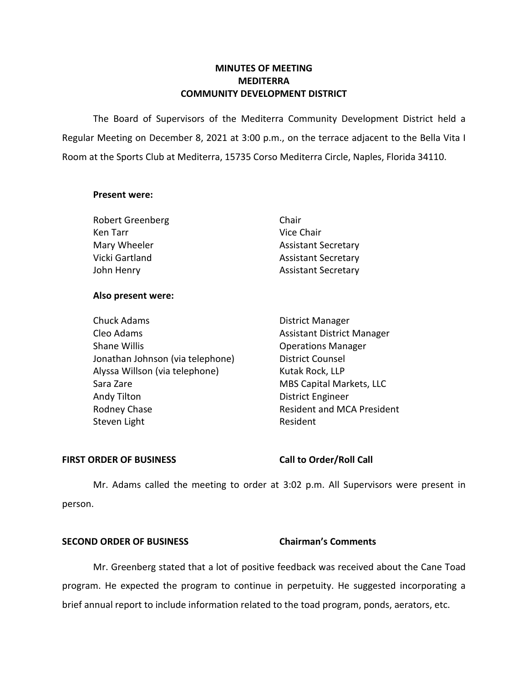# **MINUTES OF MEETING MEDITERRA COMMUNITY DEVELOPMENT DISTRICT**

 The Board of Supervisors of the Mediterra Community Development District held a Regular Meeting on December 8, 2021 at 3:00 p.m., on the terrace adjacent to the Bella Vita I Room at the Sports Club at Mediterra, 15735 Corso Mediterra Circle, Naples, Florida 34110.

### **Present were:**

| <b>Robert Greenberg</b> | Chair                      |
|-------------------------|----------------------------|
| Ken Tarr                | Vice Chair                 |
| Mary Wheeler            | <b>Assistant Secretary</b> |
| Vicki Gartland          | <b>Assistant Secretary</b> |
| John Henry              | <b>Assistant Secretary</b> |

### **Also present were:**

| <b>District Manager</b>           |
|-----------------------------------|
| <b>Assistant District Manager</b> |
| <b>Operations Manager</b>         |
| <b>District Counsel</b>           |
| Kutak Rock, LLP                   |
| MBS Capital Markets, LLC          |
| <b>District Engineer</b>          |
| <b>Resident and MCA President</b> |
| Resident                          |
|                                   |

### FIRST ORDER OF BUSINESS Call to Order/Roll Call

Mr. Adams called the meeting to order at 3:02 p.m. All Supervisors were present in person.

# **SECOND ORDER OF BUSINESS Chairman's Comments**

Mr. Greenberg stated that a lot of positive feedback was received about the Cane Toad program. He expected the program to continue in perpetuity. He suggested incorporating a brief annual report to include information related to the toad program, ponds, aerators, etc.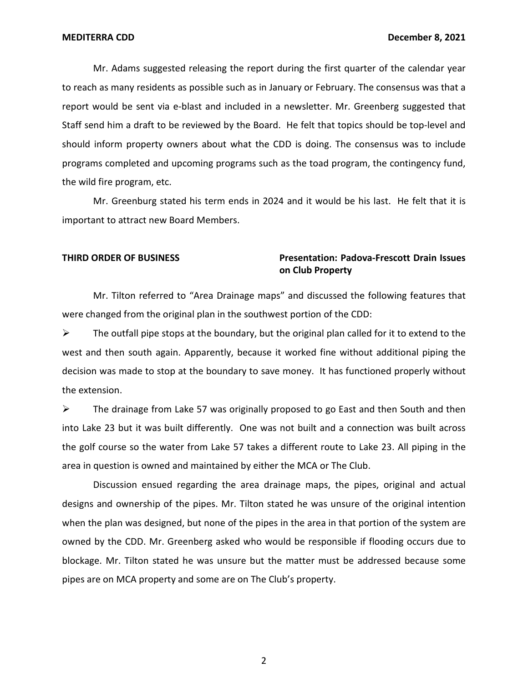Mr. Adams suggested releasing the report during the first quarter of the calendar year to reach as many residents as possible such as in January or February. The consensus was that a report would be sent via e-blast and included in a newsletter. Mr. Greenberg suggested that Staff send him a draft to be reviewed by the Board. He felt that topics should be top-level and should inform property owners about what the CDD is doing. The consensus was to include programs completed and upcoming programs such as the toad program, the contingency fund, the wild fire program, etc.

Mr. Greenburg stated his term ends in 2024 and it would be his last. He felt that it is important to attract new Board Members.

# **THIRD ORDER OF BUSINESS Presentation: Padova-Frescott Drain Issues on Club Property**

Mr. Tilton referred to "Area Drainage maps" and discussed the following features that were changed from the original plan in the southwest portion of the CDD:

 $\triangleright$  The outfall pipe stops at the boundary, but the original plan called for it to extend to the west and then south again. Apparently, because it worked fine without additional piping the decision was made to stop at the boundary to save money. It has functioned properly without the extension.

 $\triangleright$  The drainage from Lake 57 was originally proposed to go East and then South and then into Lake 23 but it was built differently. One was not built and a connection was built across the golf course so the water from Lake 57 takes a different route to Lake 23. All piping in the area in question is owned and maintained by either the MCA or The Club.

Discussion ensued regarding the area drainage maps, the pipes, original and actual designs and ownership of the pipes. Mr. Tilton stated he was unsure of the original intention when the plan was designed, but none of the pipes in the area in that portion of the system are owned by the CDD. Mr. Greenberg asked who would be responsible if flooding occurs due to blockage. Mr. Tilton stated he was unsure but the matter must be addressed because some pipes are on MCA property and some are on The Club's property.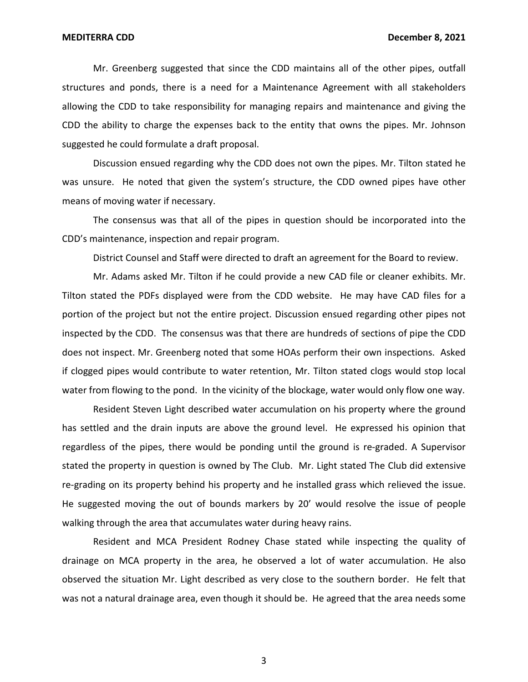Mr. Greenberg suggested that since the CDD maintains all of the other pipes, outfall structures and ponds, there is a need for a Maintenance Agreement with all stakeholders allowing the CDD to take responsibility for managing repairs and maintenance and giving the CDD the ability to charge the expenses back to the entity that owns the pipes. Mr. Johnson suggested he could formulate a draft proposal.

Discussion ensued regarding why the CDD does not own the pipes. Mr. Tilton stated he was unsure. He noted that given the system's structure, the CDD owned pipes have other means of moving water if necessary.

The consensus was that all of the pipes in question should be incorporated into the CDD's maintenance, inspection and repair program.

District Counsel and Staff were directed to draft an agreement for the Board to review.

Mr. Adams asked Mr. Tilton if he could provide a new CAD file or cleaner exhibits. Mr. Tilton stated the PDFs displayed were from the CDD website. He may have CAD files for a portion of the project but not the entire project. Discussion ensued regarding other pipes not inspected by the CDD. The consensus was that there are hundreds of sections of pipe the CDD does not inspect. Mr. Greenberg noted that some HOAs perform their own inspections. Asked if clogged pipes would contribute to water retention, Mr. Tilton stated clogs would stop local water from flowing to the pond. In the vicinity of the blockage, water would only flow one way.

Resident Steven Light described water accumulation on his property where the ground has settled and the drain inputs are above the ground level. He expressed his opinion that regardless of the pipes, there would be ponding until the ground is re-graded. A Supervisor stated the property in question is owned by The Club. Mr. Light stated The Club did extensive re-grading on its property behind his property and he installed grass which relieved the issue. He suggested moving the out of bounds markers by 20' would resolve the issue of people walking through the area that accumulates water during heavy rains.

Resident and MCA President Rodney Chase stated while inspecting the quality of drainage on MCA property in the area, he observed a lot of water accumulation. He also observed the situation Mr. Light described as very close to the southern border. He felt that was not a natural drainage area, even though it should be. He agreed that the area needs some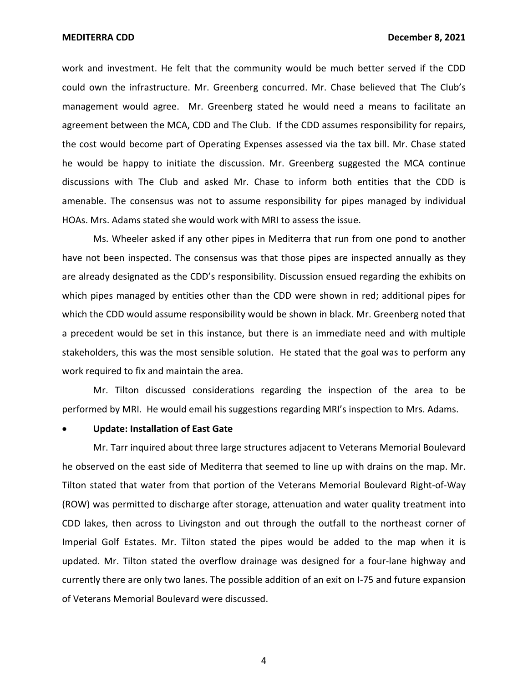work and investment. He felt that the community would be much better served if the CDD could own the infrastructure. Mr. Greenberg concurred. Mr. Chase believed that The Club's management would agree. Mr. Greenberg stated he would need a means to facilitate an agreement between the MCA, CDD and The Club. If the CDD assumes responsibility for repairs, the cost would become part of Operating Expenses assessed via the tax bill. Mr. Chase stated he would be happy to initiate the discussion. Mr. Greenberg suggested the MCA continue discussions with The Club and asked Mr. Chase to inform both entities that the CDD is amenable. The consensus was not to assume responsibility for pipes managed by individual HOAs. Mrs. Adams stated she would work with MRI to assess the issue.

Ms. Wheeler asked if any other pipes in Mediterra that run from one pond to another have not been inspected. The consensus was that those pipes are inspected annually as they are already designated as the CDD's responsibility. Discussion ensued regarding the exhibits on which pipes managed by entities other than the CDD were shown in red; additional pipes for which the CDD would assume responsibility would be shown in black. Mr. Greenberg noted that a precedent would be set in this instance, but there is an immediate need and with multiple stakeholders, this was the most sensible solution. He stated that the goal was to perform any work required to fix and maintain the area.

Mr. Tilton discussed considerations regarding the inspection of the area to be performed by MRI. He would email his suggestions regarding MRI's inspection to Mrs. Adams.

# • **Update: Installation of East Gate**

Mr. Tarr inquired about three large structures adjacent to Veterans Memorial Boulevard he observed on the east side of Mediterra that seemed to line up with drains on the map. Mr. Tilton stated that water from that portion of the Veterans Memorial Boulevard Right-of-Way (ROW) was permitted to discharge after storage, attenuation and water quality treatment into CDD lakes, then across to Livingston and out through the outfall to the northeast corner of Imperial Golf Estates. Mr. Tilton stated the pipes would be added to the map when it is updated. Mr. Tilton stated the overflow drainage was designed for a four-lane highway and currently there are only two lanes. The possible addition of an exit on I-75 and future expansion of Veterans Memorial Boulevard were discussed.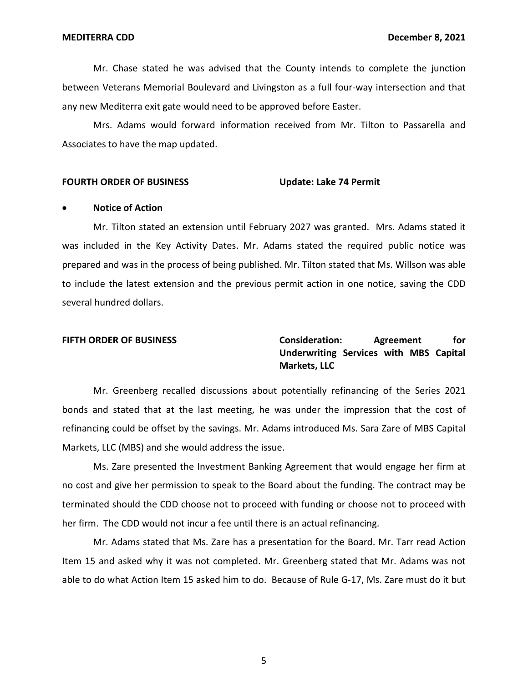Mr. Chase stated he was advised that the County intends to complete the junction between Veterans Memorial Boulevard and Livingston as a full four-way intersection and that any new Mediterra exit gate would need to be approved before Easter.

Mrs. Adams would forward information received from Mr. Tilton to Passarella and Associates to have the map updated.

#### **Update: Lake 74 Permit FOURTH ORDER OF BUSINESS**

#### • **Notice of Action**

Mr. Tilton stated an extension until February 2027 was granted. Mrs. Adams stated it was included in the Key Activity Dates. Mr. Adams stated the required public notice was prepared and was in the process of being published. Mr. Tilton stated that Ms. Willson was able to include the latest extension and the previous permit action in one notice, saving the CDD several hundred dollars.

 **Underwriting Services with MBS Capital FIFTH ORDER OF BUSINESS Consideration: Agreement for Markets, LLC** 

Mr. Greenberg recalled discussions about potentially refinancing of the Series 2021 bonds and stated that at the last meeting, he was under the impression that the cost of refinancing could be offset by the savings. Mr. Adams introduced Ms. Sara Zare of MBS Capital Markets, LLC (MBS) and she would address the issue.

Ms. Zare presented the Investment Banking Agreement that would engage her firm at no cost and give her permission to speak to the Board about the funding. The contract may be terminated should the CDD choose not to proceed with funding or choose not to proceed with her firm. The CDD would not incur a fee until there is an actual refinancing.

Mr. Adams stated that Ms. Zare has a presentation for the Board. Mr. Tarr read Action Item 15 and asked why it was not completed. Mr. Greenberg stated that Mr. Adams was not able to do what Action Item 15 asked him to do. Because of Rule G-17, Ms. Zare must do it but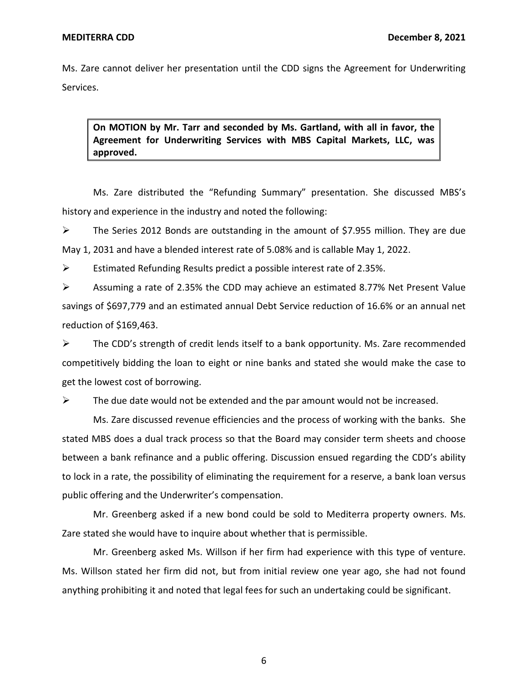Ms. Zare cannot deliver her presentation until the CDD signs the Agreement for Underwriting Services.

 **On MOTION by Mr. Tarr and seconded by Ms. Gartland, with all in favor, the Agreement for Underwriting Services with MBS Capital Markets, LLC, was approved.** 

Ms. Zare distributed the "Refunding Summary" presentation. She discussed MBS's history and experience in the industry and noted the following:

➢ The Series 2012 Bonds are outstanding in the amount of \$7.955 million. They are due May 1, 2031 and have a blended interest rate of 5.08% and is callable May 1, 2022.

 $\triangleright$  Estimated Refunding Results predict a possible interest rate of 2.35%.

 $\triangleright$  Assuming a rate of 2.35% the CDD may achieve an estimated 8.77% Net Present Value savings of \$697,779 and an estimated annual Debt Service reduction of 16.6% or an annual net reduction of \$169,463.

➢ The CDD's strength of credit lends itself to a bank opportunity. Ms. Zare recommended competitively bidding the loan to eight or nine banks and stated she would make the case to get the lowest cost of borrowing.

 $\triangleright$  The due date would not be extended and the par amount would not be increased.

Ms. Zare discussed revenue efficiencies and the process of working with the banks. She stated MBS does a dual track process so that the Board may consider term sheets and choose between a bank refinance and a public offering. Discussion ensued regarding the CDD's ability to lock in a rate, the possibility of eliminating the requirement for a reserve, a bank loan versus public offering and the Underwriter's compensation.

Mr. Greenberg asked if a new bond could be sold to Mediterra property owners. Ms. Zare stated she would have to inquire about whether that is permissible.

Mr. Greenberg asked Ms. Willson if her firm had experience with this type of venture. Ms. Willson stated her firm did not, but from initial review one year ago, she had not found anything prohibiting it and noted that legal fees for such an undertaking could be significant.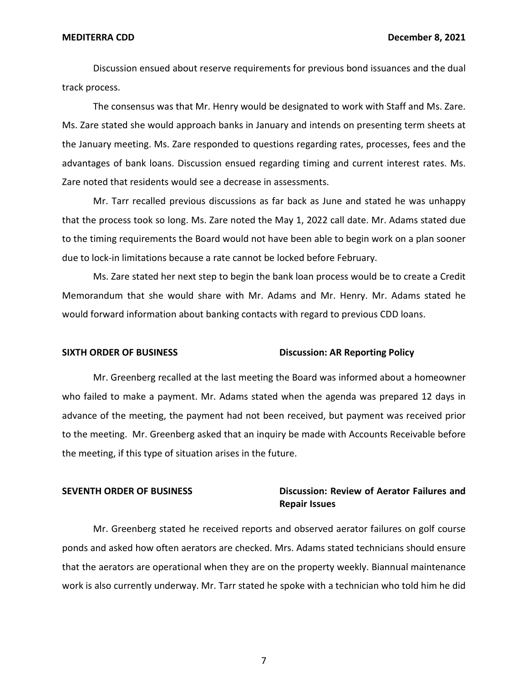Discussion ensued about reserve requirements for previous bond issuances and the dual track process.

The consensus was that Mr. Henry would be designated to work with Staff and Ms. Zare. Ms. Zare stated she would approach banks in January and intends on presenting term sheets at the January meeting. Ms. Zare responded to questions regarding rates, processes, fees and the advantages of bank loans. Discussion ensued regarding timing and current interest rates. Ms. Zare noted that residents would see a decrease in assessments.

Mr. Tarr recalled previous discussions as far back as June and stated he was unhappy that the process took so long. Ms. Zare noted the May 1, 2022 call date. Mr. Adams stated due to the timing requirements the Board would not have been able to begin work on a plan sooner due to lock-in limitations because a rate cannot be locked before February.

Ms. Zare stated her next step to begin the bank loan process would be to create a Credit Memorandum that she would share with Mr. Adams and Mr. Henry. Mr. Adams stated he would forward information about banking contacts with regard to previous CDD loans.

#### **SIXTH ORDER OF BUSINESS Discussion: AR Reporting Policy**

Mr. Greenberg recalled at the last meeting the Board was informed about a homeowner who failed to make a payment. Mr. Adams stated when the agenda was prepared 12 days in advance of the meeting, the payment had not been received, but payment was received prior to the meeting. Mr. Greenberg asked that an inquiry be made with Accounts Receivable before the meeting, if this type of situation arises in the future.

# **SEVENTH ORDER OF BUSINESS Discussion: Review of Aerator Failures and Repair Issues**

Mr. Greenberg stated he received reports and observed aerator failures on golf course ponds and asked how often aerators are checked. Mrs. Adams stated technicians should ensure that the aerators are operational when they are on the property weekly. Biannual maintenance work is also currently underway. Mr. Tarr stated he spoke with a technician who told him he did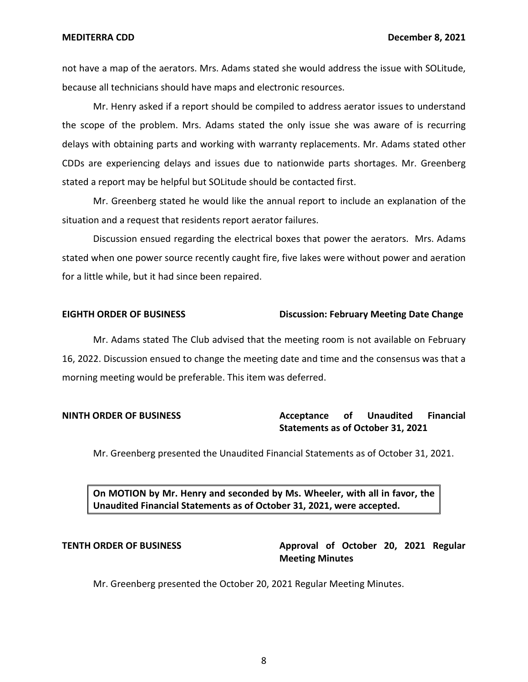not have a map of the aerators. Mrs. Adams stated she would address the issue with SOLitude, because all technicians should have maps and electronic resources.

Mr. Henry asked if a report should be compiled to address aerator issues to understand the scope of the problem. Mrs. Adams stated the only issue she was aware of is recurring delays with obtaining parts and working with warranty replacements. Mr. Adams stated other CDDs are experiencing delays and issues due to nationwide parts shortages. Mr. Greenberg stated a report may be helpful but SOLitude should be contacted first.

Mr. Greenberg stated he would like the annual report to include an explanation of the situation and a request that residents report aerator failures.

Discussion ensued regarding the electrical boxes that power the aerators. Mrs. Adams stated when one power source recently caught fire, five lakes were without power and aeration for a little while, but it had since been repaired.

### **EIGHTH ORDER OF BUSINESS Discussion: February Meeting Date Change**

Mr. Adams stated The Club advised that the meeting room is not available on February 16, 2022. Discussion ensued to change the meeting date and time and the consensus was that a morning meeting would be preferable. This item was deferred.

# **NINTH ORDER OF BUSINESS Acceptance of Unaudited Financial Statements as of October 31, 2021**

Mr. Greenberg presented the Unaudited Financial Statements as of October 31, 2021.

 **On MOTION by Mr. Henry and seconded by Ms. Wheeler, with all in favor, the Unaudited Financial Statements as of October 31, 2021, were accepted.** 

# **TENTH ORDER OF BUSINESS Approval of October 20, 2021 Regular Meeting Minutes**

Mr. Greenberg presented the October 20, 2021 Regular Meeting Minutes.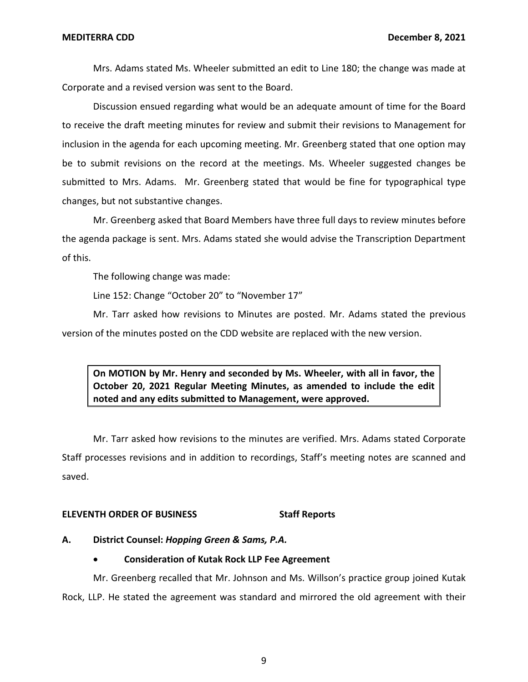Mrs. Adams stated Ms. Wheeler submitted an edit to Line 180; the change was made at Corporate and a revised version was sent to the Board.

Discussion ensued regarding what would be an adequate amount of time for the Board to receive the draft meeting minutes for review and submit their revisions to Management for inclusion in the agenda for each upcoming meeting. Mr. Greenberg stated that one option may be to submit revisions on the record at the meetings. Ms. Wheeler suggested changes be submitted to Mrs. Adams. Mr. Greenberg stated that would be fine for typographical type changes, but not substantive changes.

Mr. Greenberg asked that Board Members have three full days to review minutes before the agenda package is sent. Mrs. Adams stated she would advise the Transcription Department of this.

The following change was made:

Line 152: Change "October 20" to "November 17"

Mr. Tarr asked how revisions to Minutes are posted. Mr. Adams stated the previous version of the minutes posted on the CDD website are replaced with the new version.

 **On MOTION by Mr. Henry and seconded by Ms. Wheeler, with all in favor, the October 20, 2021 Regular Meeting Minutes, as amended to include the edit noted and any edits submitted to Management, were approved.** 

Mr. Tarr asked how revisions to the minutes are verified. Mrs. Adams stated Corporate Staff processes revisions and in addition to recordings, Staff's meeting notes are scanned and saved.

### **ELEVENTH ORDER OF BUSINESS STATES STAFF REPORTS**

**A. District Counsel:** *Hopping Green & Sams, P.A.* 

# • **Consideration of Kutak Rock LLP Fee Agreement**

Mr. Greenberg recalled that Mr. Johnson and Ms. Willson's practice group joined Kutak Rock, LLP. He stated the agreement was standard and mirrored the old agreement with their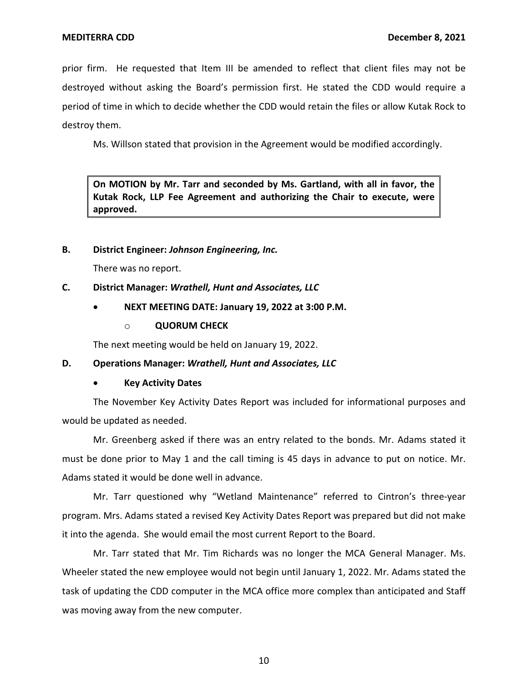prior firm. He requested that Item III be amended to reflect that client files may not be destroyed without asking the Board's permission first. He stated the CDD would require a period of time in which to decide whether the CDD would retain the files or allow Kutak Rock to destroy them.

Ms. Willson stated that provision in the Agreement would be modified accordingly.

 **On MOTION by Mr. Tarr and seconded by Ms. Gartland, with all in favor, the Kutak Rock, LLP Fee Agreement and authorizing the Chair to execute, were approved.** 

# **B. District Engineer:** *Johnson Engineering, Inc.*

There was no report.

# **C. District Manager:** *Wrathell, Hunt and Associates, LLC*

# • **NEXT MEETING DATE: January 19, 2022 at 3:00 P.M.**

o **QUORUM CHECK** 

The next meeting would be held on January 19, 2022.

### **D. Operations Manager:** *Wrathell, Hunt and Associates, LLC*

### • **Key Activity Dates**

The November Key Activity Dates Report was included for informational purposes and would be updated as needed.

Mr. Greenberg asked if there was an entry related to the bonds. Mr. Adams stated it must be done prior to May 1 and the call timing is 45 days in advance to put on notice. Mr. Adams stated it would be done well in advance.

Mr. Tarr questioned why "Wetland Maintenance" referred to Cintron's three-year program. Mrs. Adams stated a revised Key Activity Dates Report was prepared but did not make it into the agenda. She would email the most current Report to the Board.

Mr. Tarr stated that Mr. Tim Richards was no longer the MCA General Manager. Ms. Wheeler stated the new employee would not begin until January 1, 2022. Mr. Adams stated the task of updating the CDD computer in the MCA office more complex than anticipated and Staff was moving away from the new computer.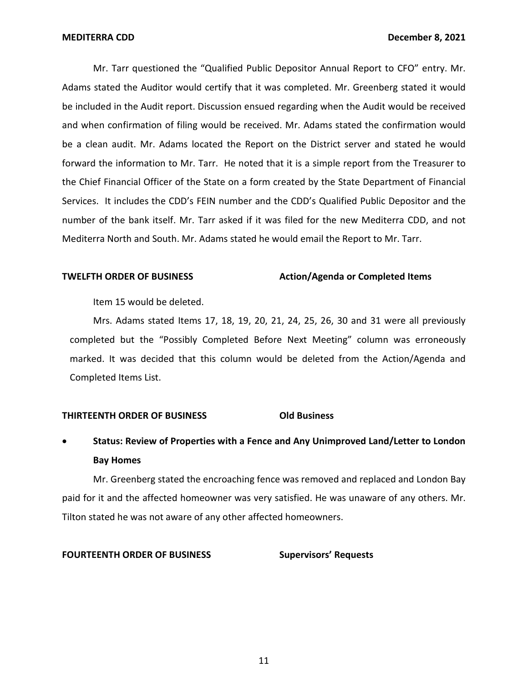Mr. Tarr questioned the "Qualified Public Depositor Annual Report to CFO" entry. Mr. Adams stated the Auditor would certify that it was completed. Mr. Greenberg stated it would be included in the Audit report. Discussion ensued regarding when the Audit would be received and when confirmation of filing would be received. Mr. Adams stated the confirmation would be a clean audit. Mr. Adams located the Report on the District server and stated he would forward the information to Mr. Tarr. He noted that it is a simple report from the Treasurer to the Chief Financial Officer of the State on a form created by the State Department of Financial Services. It includes the CDD's FEIN number and the CDD's Qualified Public Depositor and the number of the bank itself. Mr. Tarr asked if it was filed for the new Mediterra CDD, and not Mediterra North and South. Mr. Adams stated he would email the Report to Mr. Tarr.

### **TWELFTH ORDER OF BUSINESS** Action/Agenda or Completed Items

Item 15 would be deleted.

Mrs. Adams stated Items 17, 18, 19, 20, 21, 24, 25, 26, 30 and 31 were all previously completed but the "Possibly Completed Before Next Meeting" column was erroneously marked. It was decided that this column would be deleted from the Action/Agenda and Completed Items List.

# **THIRTEENTH ORDER OF BUSINESS Old Business**

# • **Status: Review of Properties with a Fence and Any Unimproved Land/Letter to London Bay Homes**

Mr. Greenberg stated the encroaching fence was removed and replaced and London Bay paid for it and the affected homeowner was very satisfied. He was unaware of any others. Mr. Tilton stated he was not aware of any other affected homeowners.

#### **FOURTEENTH ORDER OF BUSINESS Supervisors' Requests**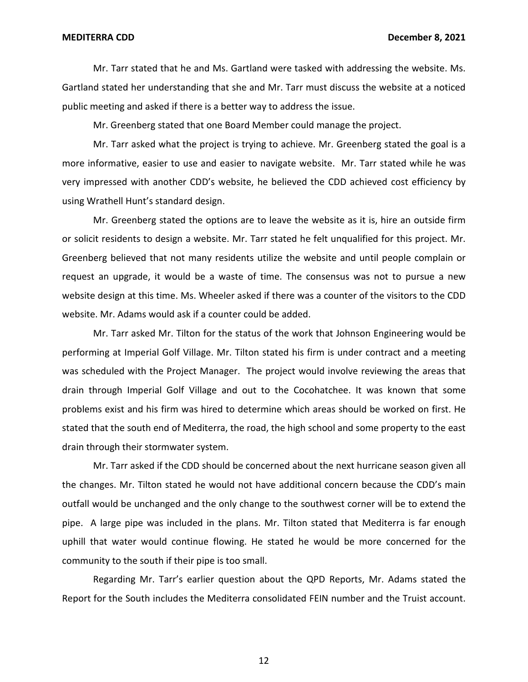Mr. Tarr stated that he and Ms. Gartland were tasked with addressing the website. Ms. Gartland stated her understanding that she and Mr. Tarr must discuss the website at a noticed public meeting and asked if there is a better way to address the issue.

Mr. Greenberg stated that one Board Member could manage the project.

Mr. Tarr asked what the project is trying to achieve. Mr. Greenberg stated the goal is a more informative, easier to use and easier to navigate website. Mr. Tarr stated while he was very impressed with another CDD's website, he believed the CDD achieved cost efficiency by using Wrathell Hunt's standard design.

Mr. Greenberg stated the options are to leave the website as it is, hire an outside firm or solicit residents to design a website. Mr. Tarr stated he felt unqualified for this project. Mr. Greenberg believed that not many residents utilize the website and until people complain or request an upgrade, it would be a waste of time. The consensus was not to pursue a new website design at this time. Ms. Wheeler asked if there was a counter of the visitors to the CDD website. Mr. Adams would ask if a counter could be added.

Mr. Tarr asked Mr. Tilton for the status of the work that Johnson Engineering would be performing at Imperial Golf Village. Mr. Tilton stated his firm is under contract and a meeting was scheduled with the Project Manager. The project would involve reviewing the areas that drain through Imperial Golf Village and out to the Cocohatchee. It was known that some problems exist and his firm was hired to determine which areas should be worked on first. He stated that the south end of Mediterra, the road, the high school and some property to the east drain through their stormwater system.

Mr. Tarr asked if the CDD should be concerned about the next hurricane season given all the changes. Mr. Tilton stated he would not have additional concern because the CDD's main outfall would be unchanged and the only change to the southwest corner will be to extend the pipe. A large pipe was included in the plans. Mr. Tilton stated that Mediterra is far enough uphill that water would continue flowing. He stated he would be more concerned for the community to the south if their pipe is too small.

Regarding Mr. Tarr's earlier question about the QPD Reports, Mr. Adams stated the Report for the South includes the Mediterra consolidated FEIN number and the Truist account.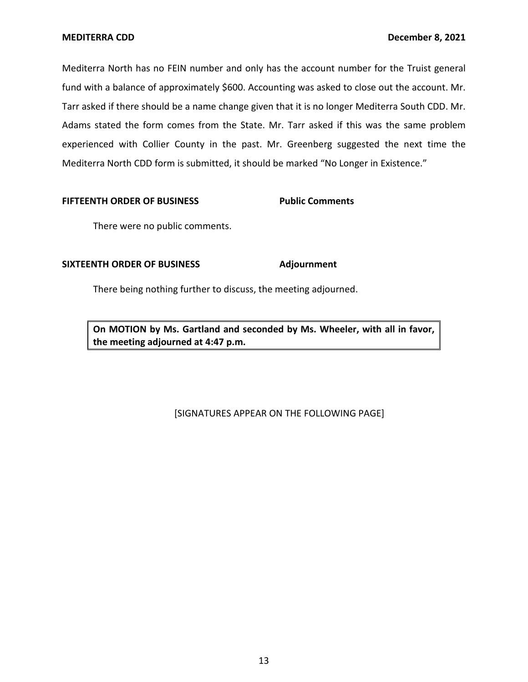Mediterra North has no FEIN number and only has the account number for the Truist general fund with a balance of approximately \$600. Accounting was asked to close out the account. Mr. Tarr asked if there should be a name change given that it is no longer Mediterra South CDD. Mr. Adams stated the form comes from the State. Mr. Tarr asked if this was the same problem experienced with Collier County in the past. Mr. Greenberg suggested the next time the Mediterra North CDD form is submitted, it should be marked "No Longer in Existence."

### **FIFTEENTH ORDER OF BUSINESS Public Comments**

There were no public comments.

# **SIXTEENTH ORDER OF BUSINESS Adjournment**

There being nothing further to discuss, the meeting adjourned.

 **On MOTION by Ms. Gartland and seconded by Ms. Wheeler, with all in favor, the meeting adjourned at 4:47 p.m.** 

# [SIGNATURES APPEAR ON THE FOLLOWING PAGE]